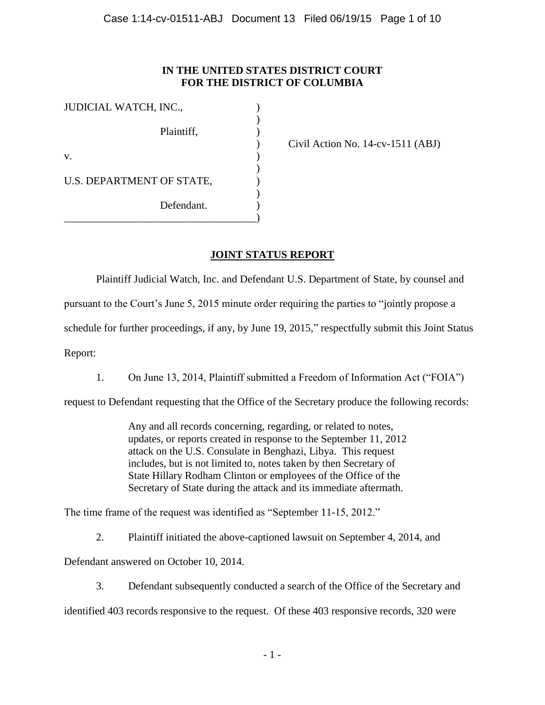# **IN THE UNITED STATES DISTRICT COURT FOR THE DISTRICT OF COLUMBIA**

| JUDICIAL WATCH, INC.,     |  |
|---------------------------|--|
| Plaintiff,                |  |
| V.                        |  |
| U.S. DEPARTMENT OF STATE, |  |
| Defendant.                |  |

) Civil Action No. 14-cv-1511 (ABJ)

# **JOINT STATUS REPORT**

Plaintiff Judicial Watch, Inc. and Defendant U.S. Department of State, by counsel and

pursuant to the Court's June 5, 2015 minute order requiring the parties to "jointly propose a

schedule for further proceedings, if any, by June 19, 2015," respectfully submit this Joint Status

Report:

1. On June 13, 2014, Plaintiff submitted a Freedom of Information Act ("FOIA")

request to Defendant requesting that the Office of the Secretary produce the following records:

Any and all records concerning, regarding, or related to notes, updates, or reports created in response to the September 11, 2012 attack on the U.S. Consulate in Benghazi, Libya. This request includes, but is not limited to, notes taken by then Secretary of State Hillary Rodham Clinton or employees of the Office of the Secretary of State during the attack and its immediate aftermath.

The time frame of the request was identified as "September 11-15, 2012."

2. Plaintiff initiated the above-captioned lawsuit on September 4, 2014, and

Defendant answered on October 10, 2014.

3. Defendant subsequently conducted a search of the Office of the Secretary and

identified 403 records responsive to the request. Of these 403 responsive records, 320 were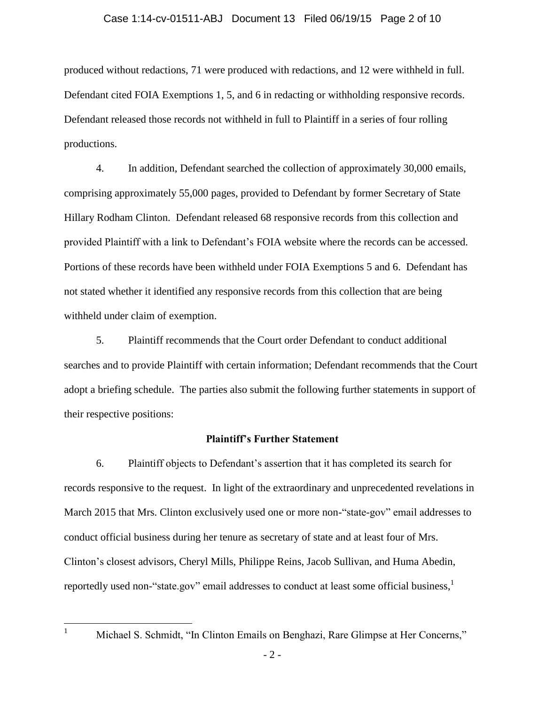#### Case 1:14-cv-01511-ABJ Document 13 Filed 06/19/15 Page 2 of 10

produced without redactions, 71 were produced with redactions, and 12 were withheld in full. Defendant cited FOIA Exemptions 1, 5, and 6 in redacting or withholding responsive records. Defendant released those records not withheld in full to Plaintiff in a series of four rolling productions.

4. In addition, Defendant searched the collection of approximately 30,000 emails, comprising approximately 55,000 pages, provided to Defendant by former Secretary of State Hillary Rodham Clinton. Defendant released 68 responsive records from this collection and provided Plaintiff with a link to Defendant's FOIA website where the records can be accessed. Portions of these records have been withheld under FOIA Exemptions 5 and 6. Defendant has not stated whether it identified any responsive records from this collection that are being withheld under claim of exemption.

5. Plaintiff recommends that the Court order Defendant to conduct additional searches and to provide Plaintiff with certain information; Defendant recommends that the Court adopt a briefing schedule. The parties also submit the following further statements in support of their respective positions:

#### **Plaintiff's Further Statement**

6. Plaintiff objects to Defendant's assertion that it has completed its search for records responsive to the request. In light of the extraordinary and unprecedented revelations in March 2015 that Mrs. Clinton exclusively used one or more non-"state-gov" email addresses to conduct official business during her tenure as secretary of state and at least four of Mrs. Clinton's closest advisors, Cheryl Mills, Philippe Reins, Jacob Sullivan, and Huma Abedin, reportedly used non-"state.gov" email addresses to conduct at least some official business,  $^{1}$ 

<sup>1</sup> Michael S. Schmidt, "In Clinton Emails on Benghazi, Rare Glimpse at Her Concerns,"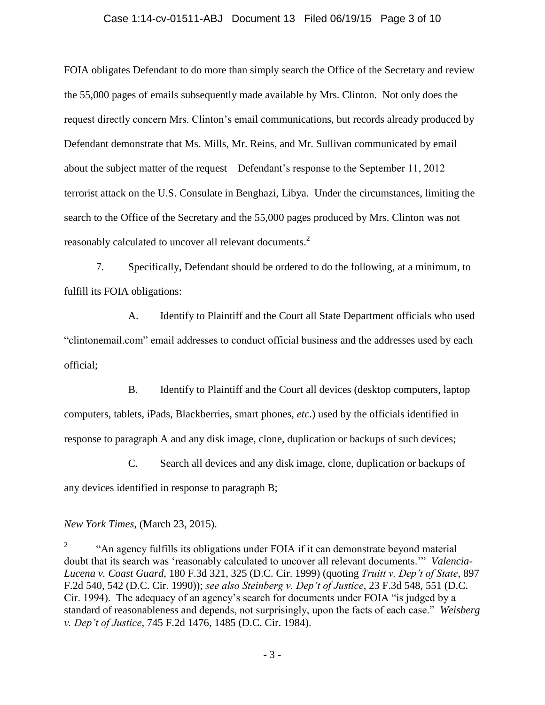#### Case 1:14-cv-01511-ABJ Document 13 Filed 06/19/15 Page 3 of 10

FOIA obligates Defendant to do more than simply search the Office of the Secretary and review the 55,000 pages of emails subsequently made available by Mrs. Clinton. Not only does the request directly concern Mrs. Clinton's email communications, but records already produced by Defendant demonstrate that Ms. Mills, Mr. Reins, and Mr. Sullivan communicated by email about the subject matter of the request – Defendant's response to the September 11, 2012 terrorist attack on the U.S. Consulate in Benghazi, Libya. Under the circumstances, limiting the search to the Office of the Secretary and the 55,000 pages produced by Mrs. Clinton was not reasonably calculated to uncover all relevant documents.<sup>2</sup>

7. Specifically, Defendant should be ordered to do the following, at a minimum, to fulfill its FOIA obligations:

A. Identify to Plaintiff and the Court all State Department officials who used "clintonemail.com" email addresses to conduct official business and the addresses used by each official;

B. Identify to Plaintiff and the Court all devices (desktop computers, laptop computers, tablets, iPads, Blackberries, smart phones, *etc*.) used by the officials identified in response to paragraph A and any disk image, clone, duplication or backups of such devices;

C. Search all devices and any disk image, clone, duplication or backups of any devices identified in response to paragraph B;

*New York Times*, (March 23, 2015).

<sup>2</sup> "An agency fulfills its obligations under FOIA if it can demonstrate beyond material doubt that its search was 'reasonably calculated to uncover all relevant documents.'" *Valencia-Lucena v. Coast Guard*, 180 F.3d 321, 325 (D.C. Cir. 1999) (quoting *Truitt v. Dep't of State*, 897 F.2d 540, 542 (D.C. Cir. 1990)); *see also Steinberg v. Dep't of Justice*, 23 F.3d 548, 551 (D.C. Cir. 1994). The adequacy of an agency's search for documents under FOIA "is judged by a standard of reasonableness and depends, not surprisingly, upon the facts of each case." *[Weisberg](http://www.lexis.com/research/buttonTFLink?_m=4fa80ede0a10f8b505455c8af5ddc3cf&_xfercite=%3ccite%20cc%3d%22USA%22%3e%3c%21%5bCDATA%5b2015%20U.S.%20Dist.%20LEXIS%2061842%5d%5d%3e%3c%2fcite%3e&_butType=3&_butStat=2&_butNum=37&_butInline=1&_butinfo=%3ccite%20cc%3d%22USA%22%3e%3c%21%5bCDATA%5b745%20F.2d%201476%2c%201485%5d%5d%3e%3c%2fcite%3e&_fmtstr=FULL&docnum=22&_startdoc=1&wchp=dGLbVzt-zSkAl&_md5=6ea6569c56bed690bb31512019d0ad73)  v. Dep't of Justice*[, 745 F.2d 1476, 1485 \(D.C. Cir. 1984\).](http://www.lexis.com/research/buttonTFLink?_m=4fa80ede0a10f8b505455c8af5ddc3cf&_xfercite=%3ccite%20cc%3d%22USA%22%3e%3c%21%5bCDATA%5b2015%20U.S.%20Dist.%20LEXIS%2061842%5d%5d%3e%3c%2fcite%3e&_butType=3&_butStat=2&_butNum=37&_butInline=1&_butinfo=%3ccite%20cc%3d%22USA%22%3e%3c%21%5bCDATA%5b745%20F.2d%201476%2c%201485%5d%5d%3e%3c%2fcite%3e&_fmtstr=FULL&docnum=22&_startdoc=1&wchp=dGLbVzt-zSkAl&_md5=6ea6569c56bed690bb31512019d0ad73)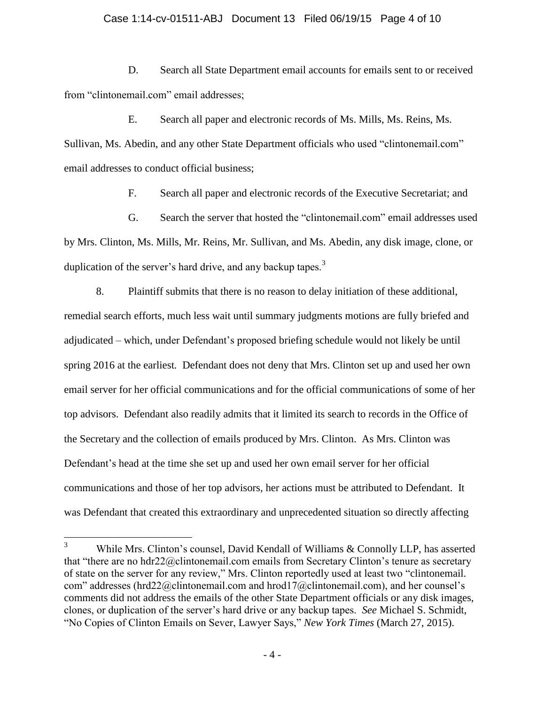#### Case 1:14-cv-01511-ABJ Document 13 Filed 06/19/15 Page 4 of 10

D. Search all State Department email accounts for emails sent to or received from "clintonemail.com" email addresses;

E. Search all paper and electronic records of Ms. Mills, Ms. Reins, Ms. Sullivan, Ms. Abedin, and any other State Department officials who used "clintonemail.com" email addresses to conduct official business;

F. Search all paper and electronic records of the Executive Secretariat; and

G. Search the server that hosted the "clintonemail.com" email addresses used by Mrs. Clinton, Ms. Mills, Mr. Reins, Mr. Sullivan, and Ms. Abedin, any disk image, clone, or duplication of the server's hard drive, and any backup tapes.<sup>3</sup>

8. Plaintiff submits that there is no reason to delay initiation of these additional, remedial search efforts, much less wait until summary judgments motions are fully briefed and adjudicated – which, under Defendant's proposed briefing schedule would not likely be until spring 2016 at the earliest*.* Defendant does not deny that Mrs. Clinton set up and used her own email server for her official communications and for the official communications of some of her top advisors. Defendant also readily admits that it limited its search to records in the Office of the Secretary and the collection of emails produced by Mrs. Clinton. As Mrs. Clinton was Defendant's head at the time she set up and used her own email server for her official communications and those of her top advisors, her actions must be attributed to Defendant. It was Defendant that created this extraordinary and unprecedented situation so directly affecting

 $\overline{3}$ While Mrs. Clinton's counsel, David Kendall of Williams & Connolly LLP, has asserted that "there are no hdr22@clintonemail.com emails from Secretary Clinton's tenure as secretary of state on the server for any review," Mrs. Clinton reportedly used at least two "clintonemail. com" addresses (hrd22@clintonemail.com and hrod17@clintonemail.com), and her counsel's comments did not address the emails of the other State Department officials or any disk images, clones, or duplication of the server's hard drive or any backup tapes. *See* Michael S. Schmidt, "No Copies of Clinton Emails on Sever, Lawyer Says," *New York Times* (March 27, 2015).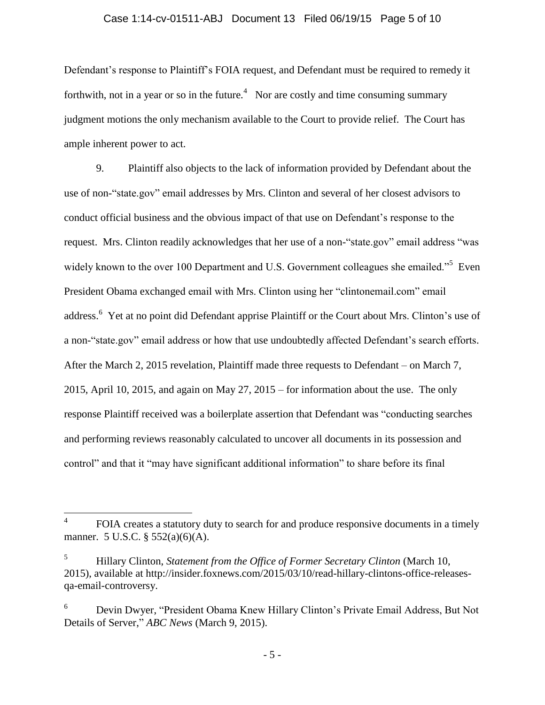#### Case 1:14-cv-01511-ABJ Document 13 Filed 06/19/15 Page 5 of 10

Defendant's response to Plaintiff's FOIA request, and Defendant must be required to remedy it forthwith, not in a year or so in the future.<sup>4</sup> Nor are costly and time consuming summary judgment motions the only mechanism available to the Court to provide relief. The Court has ample inherent power to act.

9. Plaintiff also objects to the lack of information provided by Defendant about the use of non-"state.gov" email addresses by Mrs. Clinton and several of her closest advisors to conduct official business and the obvious impact of that use on Defendant's response to the request. Mrs. Clinton readily acknowledges that her use of a non-"state.gov" email address "was widely known to the over 100 Department and U.S. Government colleagues she emailed."<sup>5</sup> Even President Obama exchanged email with Mrs. Clinton using her "clintonemail.com" email address.<sup>6</sup> Yet at no point did Defendant apprise Plaintiff or the Court about Mrs. Clinton's use of a non-"state.gov" email address or how that use undoubtedly affected Defendant's search efforts. After the March 2, 2015 revelation, Plaintiff made three requests to Defendant – on March 7, 2015, April 10, 2015, and again on May 27, 2015 – for information about the use. The only response Plaintiff received was a boilerplate assertion that Defendant was "conducting searches and performing reviews reasonably calculated to uncover all documents in its possession and control" and that it "may have significant additional information" to share before its final

- 5 -

 $\frac{1}{4}$ FOIA creates a statutory duty to search for and produce responsive documents in a timely manner. 5 U.S.C. § 552(a)(6)(A).

<sup>5</sup> Hillary Clinton, *Statement from the Office of Former Secretary Clinton* (March 10, 2015), available at http://insider.foxnews.com/2015/03/10/read-hillary-clintons-office-releasesqa-email-controversy.

<sup>6</sup> Devin Dwyer, "President Obama Knew Hillary Clinton's Private Email Address, But Not Details of Server," *ABC News* (March 9, 2015).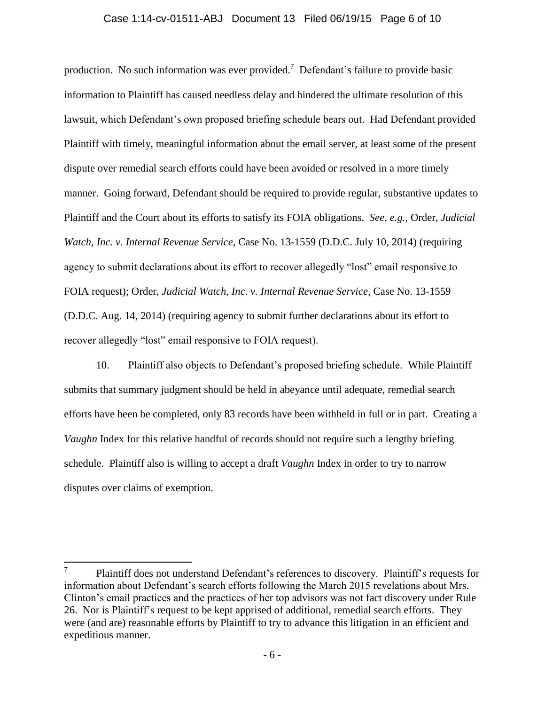#### Case 1:14-cv-01511-ABJ Document 13 Filed 06/19/15 Page 6 of 10

production. No such information was ever provided.<sup>7</sup> Defendant's failure to provide basic information to Plaintiff has caused needless delay and hindered the ultimate resolution of this lawsuit, which Defendant's own proposed briefing schedule bears out. Had Defendant provided Plaintiff with timely, meaningful information about the email server, at least some of the present dispute over remedial search efforts could have been avoided or resolved in a more timely manner. Going forward, Defendant should be required to provide regular, substantive updates to Plaintiff and the Court about its efforts to satisfy its FOIA obligations. *See*, *e.g.*, Order, *Judicial Watch, Inc. v. Internal Revenue Service*, Case No. 13-1559 (D.D.C. July 10, 2014) (requiring agency to submit declarations about its effort to recover allegedly "lost" email responsive to FOIA request); Order, *Judicial Watch, Inc. v. Internal Revenue Service*, Case No. 13-1559 (D.D.C. Aug. 14, 2014) (requiring agency to submit further declarations about its effort to recover allegedly "lost" email responsive to FOIA request).

10. Plaintiff also objects to Defendant's proposed briefing schedule. While Plaintiff submits that summary judgment should be held in abeyance until adequate, remedial search efforts have been be completed, only 83 records have been withheld in full or in part. Creating a *Vaughn* Index for this relative handful of records should not require such a lengthy briefing schedule. Plaintiff also is willing to accept a draft *Vaughn* Index in order to try to narrow disputes over claims of exemption.

<sup>7</sup> Plaintiff does not understand Defendant's references to discovery. Plaintiff's requests for information about Defendant's search efforts following the March 2015 revelations about Mrs. Clinton's email practices and the practices of her top advisors was not fact discovery under Rule 26. Nor is Plaintiff's request to be kept apprised of additional, remedial search efforts. They were (and are) reasonable efforts by Plaintiff to try to advance this litigation in an efficient and expeditious manner.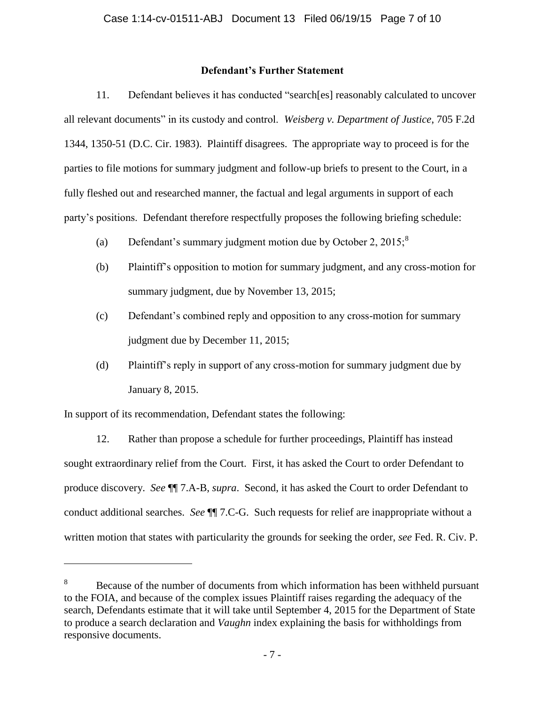### **Defendant's Further Statement**

11. Defendant believes it has conducted "search[es] reasonably calculated to uncover all relevant documents" in its custody and control. *Weisberg v. Department of Justice*, 705 F.2d 1344, 1350-51 (D.C. Cir. 1983). Plaintiff disagrees. The appropriate way to proceed is for the parties to file motions for summary judgment and follow-up briefs to present to the Court, in a fully fleshed out and researched manner, the factual and legal arguments in support of each party's positions. Defendant therefore respectfully proposes the following briefing schedule:

- (a) Defendant's summary judgment motion due by October 2,  $2015$ ;<sup>8</sup>
- (b) Plaintiff's opposition to motion for summary judgment, and any cross-motion for summary judgment, due by November 13, 2015;
- (c) Defendant's combined reply and opposition to any cross-motion for summary judgment due by December 11, 2015;
- (d) Plaintiff's reply in support of any cross-motion for summary judgment due by January 8, 2015.

In support of its recommendation, Defendant states the following:

 $\overline{a}$ 

12. Rather than propose a schedule for further proceedings, Plaintiff has instead sought extraordinary relief from the Court. First, it has asked the Court to order Defendant to produce discovery. *See* ¶¶ 7.A-B, *supra*. Second, it has asked the Court to order Defendant to conduct additional searches. *See* ¶¶ 7.C-G. Such requests for relief are inappropriate without a written motion that states with particularity the grounds for seeking the order, *see* Fed. R. Civ. P.

<sup>&</sup>lt;sup>8</sup> Because of the number of documents from which information has been withheld pursuant to the FOIA, and because of the complex issues Plaintiff raises regarding the adequacy of the search, Defendants estimate that it will take until September 4, 2015 for the Department of State to produce a search declaration and *Vaughn* index explaining the basis for withholdings from responsive documents.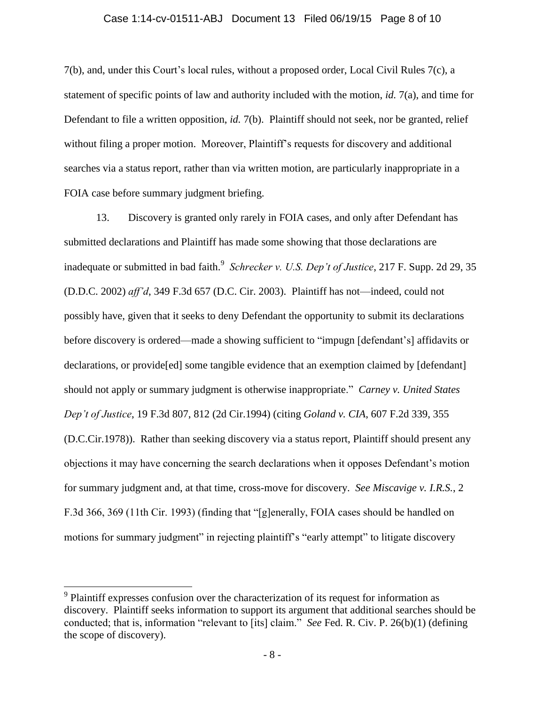#### Case 1:14-cv-01511-ABJ Document 13 Filed 06/19/15 Page 8 of 10

7(b), and, under this Court's local rules, without a proposed order, Local Civil Rules 7(c), a statement of specific points of law and authority included with the motion, *id.* 7(a), and time for Defendant to file a written opposition, *id.* 7(b). Plaintiff should not seek, nor be granted, relief without filing a proper motion. Moreover, Plaintiff's requests for discovery and additional searches via a status report, rather than via written motion, are particularly inappropriate in a FOIA case before summary judgment briefing.

13. Discovery is granted only rarely in FOIA cases, and only after Defendant has submitted declarations and Plaintiff has made some showing that those declarations are inadequate or submitted in bad faith.<sup>9</sup> Schrecker v. U.S. Dep't of Justice, 217 F. Supp. 2d 29, 35 (D.D.C. 2002) *aff'd*, 349 F.3d 657 (D.C. Cir. 2003). Plaintiff has not—indeed, could not possibly have, given that it seeks to deny Defendant the opportunity to submit its declarations before discovery is ordered—made a showing sufficient to "impugn [defendant's] affidavits or declarations, or provide[ed] some tangible evidence that an exemption claimed by [defendant] should not apply or summary judgment is otherwise inappropriate." *Carney v. United States Dep't of Justice*, 19 F.3d 807, 812 (2d Cir.1994) (citing *Goland v. CIA*, 607 F.2d 339, 355 (D.C.Cir.1978)). Rather than seeking discovery via a status report, Plaintiff should present any objections it may have concerning the search declarations when it opposes Defendant's motion for summary judgment and, at that time, cross-move for discovery. *See Miscavige v. I.R.S.*, 2 F.3d 366, 369 (11th Cir. 1993) (finding that "[g]enerally, FOIA cases should be handled on motions for summary judgment" in rejecting plaintiff's "early attempt" to litigate discovery

<sup>&</sup>lt;sup>9</sup> Plaintiff expresses confusion over the characterization of its request for information as discovery. Plaintiff seeks information to support its argument that additional searches should be conducted; that is, information "relevant to [its] claim." *See* Fed. R. Civ. P. 26(b)(1) (defining the scope of discovery).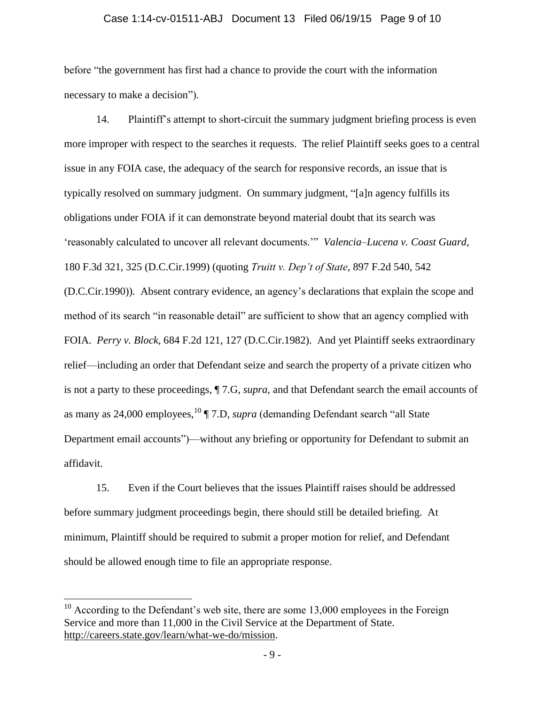# Case 1:14-cv-01511-ABJ Document 13 Filed 06/19/15 Page 9 of 10

before "the government has first had a chance to provide the court with the information necessary to make a decision").

14. Plaintiff's attempt to short-circuit the summary judgment briefing process is even more improper with respect to the searches it requests. The relief Plaintiff seeks goes to a central issue in any FOIA case, the adequacy of the search for responsive records, an issue that is typically resolved on summary judgment. On summary judgment, "[a]n agency fulfills its obligations under FOIA if it can demonstrate beyond material doubt that its search was 'reasonably calculated to uncover all relevant documents.'" *Valencia–Lucena v. Coast Guard*, 180 F.3d 321, 325 (D.C.Cir.1999) (quoting *Truitt v. Dep't of State*, 897 F.2d 540, 542 (D.C.Cir.1990)). Absent contrary evidence, an agency's declarations that explain the scope and method of its search "in reasonable detail" are sufficient to show that an agency complied with FOIA. *Perry v. Block*, 684 F.2d 121, 127 (D.C.Cir.1982). And yet Plaintiff seeks extraordinary relief—including an order that Defendant seize and search the property of a private citizen who is not a party to these proceedings, ¶ 7.G, *supra*, and that Defendant search the email accounts of as many as 24,000 employees,<sup>10</sup> ¶ 7.D, *supra* (demanding Defendant search "all State") Department email accounts")—without any briefing or opportunity for Defendant to submit an affidavit.

15. Even if the Court believes that the issues Plaintiff raises should be addressed before summary judgment proceedings begin, there should still be detailed briefing. At minimum, Plaintiff should be required to submit a proper motion for relief, and Defendant should be allowed enough time to file an appropriate response.

 $10$  According to the Defendant's web site, there are some 13,000 employees in the Foreign Service and more than 11,000 in the Civil Service at the Department of State. http://careers.state.gov/learn/what-we-do/mission.